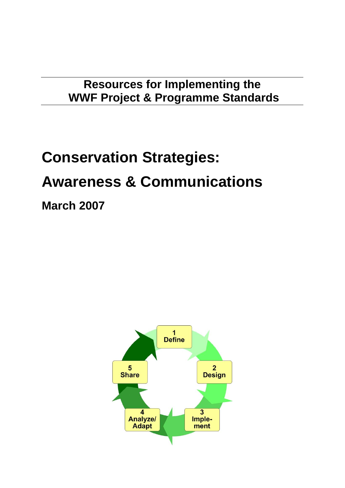## **Resources for Implementing the WWF Project & Programme Standards**

# **Conservation Strategies: Awareness & Communications**

**March 2007**

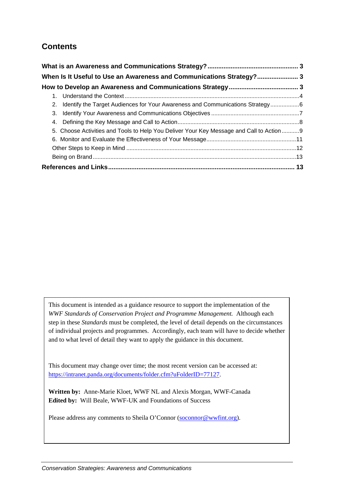## **Contents**

| When Is It Useful to Use an Awareness and Communications Strategy? 3                    |  |
|-----------------------------------------------------------------------------------------|--|
|                                                                                         |  |
|                                                                                         |  |
| 2. Identify the Target Audiences for Your Awareness and Communications Strategy6        |  |
|                                                                                         |  |
|                                                                                         |  |
| 5. Choose Activities and Tools to Help You Deliver Your Key Message and Call to Action9 |  |
|                                                                                         |  |
|                                                                                         |  |
|                                                                                         |  |
|                                                                                         |  |

This document is intended as a guidance resource to support the implementation of the *WWF Standards of Conservation Project and Programme Management.* Although each step in these *Standards* must be completed, the level of detail depends on the circumstances of individual projects and programmes. Accordingly, each team will have to decide whether and to what level of detail they want to apply the guidance in this document.

This document may change over time; the most recent version can be accessed at: [https://intranet.panda.org/documents/folder.cfm?uFolderID=77127.](https://intranet.panda.org/documents/folder.cfm?uFolderID=77127)

**Written by:** Anne-Marie Kloet, WWF NL and Alexis Morgan, WWF-Canada **Edited by:** Will Beale, WWF-UK and Foundations of Success

Please address any comments to Sheila O'Connor [\(soconnor@wwfint.org](mailto:soconnor@wwfint.org)).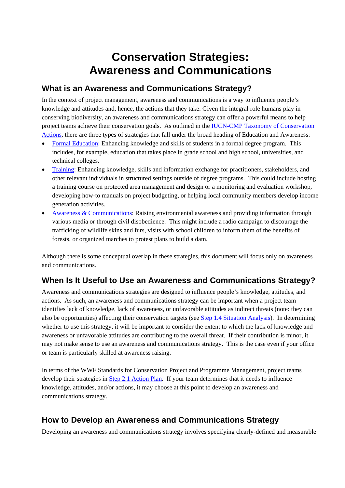# **Conservation Strategies: Awareness and Communications**

## <span id="page-2-0"></span>**What is an Awareness and Communications Strategy?**

In the context of project management, awareness and communications is a way to influence people's knowledge and attitudes and, hence, the actions that they take. Given the integral role humans play in conserving biodiversity, an awareness and communications strategy can offer a powerful means to help project teams achieve their conservation goals. As outlined in the [IUCN-CMP Taxonomy of Conservation](http://conservationmeasures.org/CMP/IUCN/browse.cfm?TaxID=ConservationActions)  [Actions](http://conservationmeasures.org/CMP/IUCN/browse.cfm?TaxID=ConservationActions), there are three types of strategies that fall under the broad heading of Education and Awareness:

- [Formal Education](http://conservationmeasures.org/CMP/IUCN/view.cfm?ItemID=21&ParentID=19&SortID=95&TaxID=ConservationActions): Enhancing knowledge and skills of students in a formal degree program. This includes, for example, education that takes place in grade school and high school, universities, and technical colleges.
- [Training:](http://conservationmeasures.org/CMP/IUCN/view.cfm?ItemID=22&ParentID=19&SortID=96&TaxID=ConservationActions) Enhancing knowledge, skills and information exchange for practitioners, stakeholders, and other relevant individuals in structured settings outside of degree programs. This could include hosting a training course on protected area management and design or a monitoring and evaluation workshop, developing how-to manuals on project budgeting, or helping local community members develop income generation activities.
- [Awareness & Communications:](http://conservationmeasures.org/CMP/IUCN/view.cfm?ItemID=24&ParentID=19&SortID=98&TaxID=ConservationActions) Raising environmental awareness and providing information through various media or through civil disobedience. This might include a radio campaign to discourage the trafficking of wildlife skins and furs, visits with school children to inform them of the benefits of forests, or organized marches to protest plans to build a dam.

Although there is some conceptual overlap in these strategies, this document will focus only on awareness and communications.

## **When Is It Useful to Use an Awareness and Communications Strategy?**

Awareness and communications strategies are designed to influence people's knowledge, attitudes, and actions. As such, an awareness and communications strategy can be important when a project team identifies lack of knowledge, lack of awareness, or unfavorable attitudes as indirect threats (note: they can also be opportunities) affecting their conservation targets (see [Step 1.4 Situation Analysis](https://intranet.panda.org/documents/folder.cfm?uFolderID=60977)). In determining whether to use this strategy, it will be important to consider the extent to which the lack of knowledge and awareness or unfavorable attitudes are contributing to the overall threat. If their contribution is minor, it may not make sense to use an awareness and communications strategy. This is the case even if your office or team is particularly skilled at awareness raising.

In terms of the WWF Standards for Conservation Project and Programme Management, project teams develop their strategies in [Step 2.1 Action Plan](https://intranet.panda.org/documents/folder.cfm?uFolderID=60978). If your team determines that it needs to influence knowledge, attitudes, and/or actions, it may choose at this point to develop an awareness and communications strategy.

## **How to Develop an Awareness and Communications Strategy**

Developing an awareness and communications strategy involves specifying clearly-defined and measurable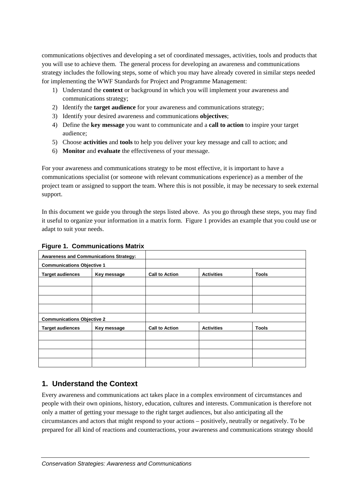<span id="page-3-0"></span>communications objectives and developing a set of coordinated messages, activities, tools and products that you will use to achieve them. The general process for developing an awareness and communications strategy includes the following steps, some of which you may have already covered in similar steps needed for implementing the WWF Standards for Project and Programme Management:

- 1) Understand the **context** or background in which you will implement your awareness and communications strategy;
- 2) Identify the **target audience** for your awareness and communications strategy;
- 3) Identify your desired awareness and communications **objectives**;
- 4) Define the **key message** you want to communicate and a **call to action** to inspire your target audience;
- 5) Choose **activities** and **tools** to help you deliver your key message and call to action; and
- 6) **Monitor** and **evaluate** the effectiveness of your message.

For your awareness and communications strategy to be most effective, it is important to have a communications specialist (or someone with relevant communications experience) as a member of the project team or assigned to support the team. Where this is not possible, it may be necessary to seek external support.

In this document we guide you through the steps listed above. As you go through these steps, you may find it useful to organize your information in a matrix form. [Figure 1](#page-3-1) provides an example that you could use or adapt to suit your needs.

| <b>Awareness and Communications Strategy:</b> |             |                       |                   |              |
|-----------------------------------------------|-------------|-----------------------|-------------------|--------------|
| <b>Communications Objective 1</b>             |             |                       |                   |              |
| <b>Target audiences</b>                       | Key message | <b>Call to Action</b> | <b>Activities</b> | <b>Tools</b> |
|                                               |             |                       |                   |              |
|                                               |             |                       |                   |              |
|                                               |             |                       |                   |              |
|                                               |             |                       |                   |              |
| <b>Communications Objective 2</b>             |             |                       |                   |              |
| <b>Target audiences</b>                       | Key message | <b>Call to Action</b> | <b>Activities</b> | <b>Tools</b> |
|                                               |             |                       |                   |              |
|                                               |             |                       |                   |              |
|                                               |             |                       |                   |              |
|                                               |             |                       |                   |              |

<span id="page-3-1"></span>**Figure 1. Communications Matrix**

## **1. Understand the Context**

Every awareness and communications act takes place in a complex environment of circumstances and people with their own opinions, history, education, cultures and interests. Communication is therefore not only a matter of getting your message to the right target audiences, but also anticipating all the circumstances and actors that might respond to your actions – positively, neutrally or negatively. To be prepared for all kind of reactions and counteractions, your awareness and communications strategy should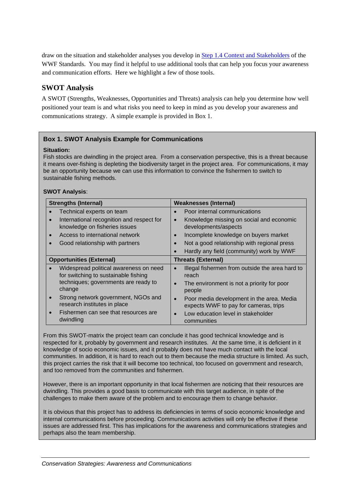draw on the situation and stakeholder analyses you develop in [Step 1.4 Context and Stakeholders](https://intranet.panda.org/documents/folder.cfm?uFolderID=60977) of the WWF Standards. You may find it helpful to use additional tools that can help you focus your awareness and communication efforts. Here we highlight a few of those tools.

#### **SWOT Analysis**

A SWOT (Strengths, Weaknesses, Opportunities and Threats) analysis can help you determine how well positioned your team is and what risks you need to keep in mind as you develop your awareness and communications strategy. A simple example is provided in [Box 1.](#page-6-1)

#### **Box 1. SWOT Analysis Example for Communications**

#### **Situation:**

Fish stocks are dwindling in the project area. From a conservation perspective, this is a threat because it means over-fishing is depleting the biodiversity target in the project area. For communications, it may be an opportunity because we can use this information to convince the fishermen to switch to sustainable fishing methods.

#### **SWOT Analysis**:

| <b>Strengths (Internal)</b>                                                             | <b>Weaknesses (Internal)</b>                                                                    |  |
|-----------------------------------------------------------------------------------------|-------------------------------------------------------------------------------------------------|--|
| Technical experts on team                                                               | Poor internal communications                                                                    |  |
| International recognition and respect for<br>$\bullet$<br>knowledge on fisheries issues | Knowledge missing on social and economic<br>$\bullet$<br>developments/aspects                   |  |
| Access to international network                                                         | Incomplete knowledge on buyers market<br>$\bullet$                                              |  |
| Good relationship with partners                                                         | Not a good relationship with regional press<br>$\bullet$                                        |  |
|                                                                                         | Hardly any field (community) work by WWF<br>$\bullet$                                           |  |
| <b>Opportunities (External)</b><br><b>Threats (External)</b>                            |                                                                                                 |  |
| Widespread political awareness on need<br>for switching to sustainable fishing          | Illegal fishermen from outside the area hard to<br>$\bullet$<br>reach                           |  |
| techniques; governments are ready to<br>change                                          | The environment is not a priority for poor<br>$\bullet$<br>people                               |  |
| Strong network government, NGOs and<br>research institutes in place                     | Poor media development in the area. Media<br>$\bullet$<br>expects WWF to pay for cameras, trips |  |
| Fishermen can see that resources are<br>$\bullet$<br>dwindling                          | Low education level in stakeholder<br>communities                                               |  |

From this SWOT-matrix the project team can conclude it has good technical knowledge and is respected for it, probably by government and research institutes. At the same time, it is deficient in it knowledge of socio economic issues, and it probably does not have much contact with the local communities. In addition, it is hard to reach out to them because the media structure is limited. As such, this project carries the risk that it will become too technical, too focused on government and research, and too removed from the communities and fishermen.

However, there is an important opportunity in that local fishermen are noticing that their resources are dwindling. This provides a good basis to communicate with this target audience, in spite of the challenges to make them aware of the problem and to encourage them to change behavior.

It is obvious that this project has to address its deficiencies in terms of socio economic knowledge and internal communications before proceeding. Communications activities will only be effective if these issues are addressed first. This has implications for the awareness and communications strategies and perhaps also the team membership.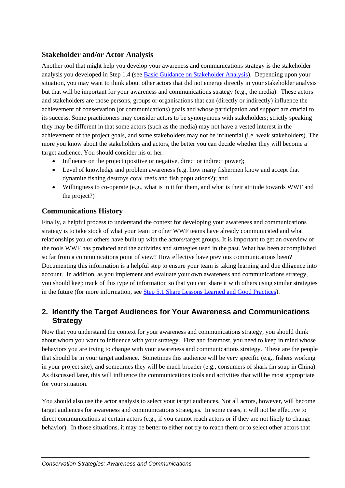#### <span id="page-5-0"></span>**Stakeholder and/or Actor Analysis**

Another tool that might help you develop your awareness and communications strategy is the stakeholder analysis you developed in Step 1.4 (see [Basic Guidance on Stakeholder Analysis\)](https://intranet.panda.org/documents/folder.cfm?uFolderID=60977). Depending upon your situation, you may want to think about other actors that did not emerge directly in your stakeholder analysis but that will be important for your awareness and communications strategy (e.g., the media). These actors and stakeholders are those persons, groups or organisations that can (directly or indirectly) influence the achievement of conservation (or communications) goals and whose participation and support are crucial to its success. Some practitioners may consider actors to be synonymous with stakeholders; strictly speaking they may be different in that some actors (such as the media) may not have a vested interest in the achievement of the project goals, and some stakeholders may not be influential (i.e. weak stakeholders). The more you know about the stakeholders and actors, the better you can decide whether they will become a target audience. You should consider his or her:

- Influence on the project (positive or negative, direct or indirect power);
- Level of knowledge and problem awareness (e.g. how many fishermen know and accept that dynamite fishing destroys coral reefs and fish populations?); and
- Willingness to co-operate (e.g., what is in it for them, and what is their attitude towards WWF and the project?)

#### **Communications History**

Finally, a helpful process to understand the context for developing your awareness and communications strategy is to take stock of what your team or other WWF teams have already communicated and what relationships you or others have built up with the actors/target groups. It is important to get an overview of the tools WWF has produced and the activities and strategies used in the past. What has been accomplished so far from a communications point of view? How effective have previous communications been? Documenting this information is a helpful step to ensure your team is taking learning and due diligence into account. In addition, as you implement and evaluate your own awareness and communications strategy, you should keep track of this type of information so that you can share it with others using similar strategies in the future (for more information, see [Step 5.1 Share Lessons Learned and Good Practices](https://intranet.panda.org/documents/folder.cfm?uFolderID=60989)).

## **2. Identify the Target Audiences for Your Awareness and Communications Strategy**

Now that you understand the context for your awareness and communications strategy, you should think about whom you want to influence with your strategy. First and foremost, you need to keep in mind whose behaviors you are trying to change with your awareness and communications strategy. These are the people that should be in your target audience. Sometimes this audience will be very specific (e.g., fishers working in your project site), and sometimes they will be much broader (e.g., consumers of shark fin soup in China). As discussed later, this will influence the communications tools and activities that will be most appropriate for your situation.

You should also use the actor analysis to select your target audiences. Not all actors, however, will become target audiences for awareness and communications strategies. In some cases, it will not be effective to direct communications at certain actors (e.g., if you cannot reach actors or if they are not likely to change behavior). In those situations, it may be better to either not try to reach them or to select other actors that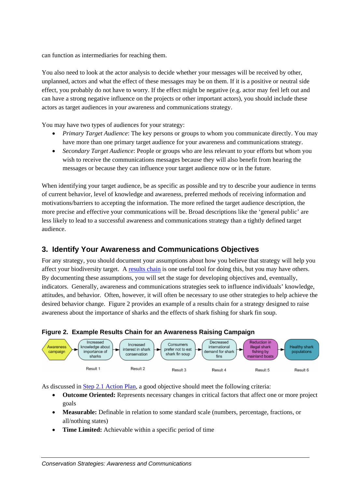<span id="page-6-0"></span>can function as intermediaries for reaching them.

You also need to look at the actor analysis to decide whether your messages will be received by other, unplanned, actors and what the effect of these messages may be on them. If it is a positive or neutral side effect, you probably do not have to worry. If the effect might be negative (e.g. actor may feel left out and can have a strong negative influence on the projects or other important actors), you should include these actors as target audiences in your awareness and communications strategy.

You may have two types of audiences for your strategy:

- *Primary Target Audience*: The key persons or groups to whom you communicate directly. You may have more than one primary target audience for your awareness and communications strategy.
- *Secondary Target Audience*: People or groups who are less relevant to your efforts but whom you wish to receive the communications messages because they will also benefit from hearing the messages or because they can influence your target audience now or in the future.

When identifying your target audience, be as specific as possible and try to describe your audience in terms of current behavior, level of knowledge and awareness, preferred methods of receiving information and motivations/barriers to accepting the information. The more refined the target audience description, the more precise and effective your communications will be. Broad descriptions like the 'general public' are less likely to lead to a successful awareness and communications strategy than a tightly defined target audience.

## **3. Identify Your Awareness and Communications Objectives**

For any strategy, you should document your assumptions about how you believe that strategy will help you affect your biodiversity target. A [results chain](https://intranet.panda.org/documents/folder.cfm?uFolderID=60995) is one useful tool for doing this, but you may have others. By documenting these assumptions, you will set the stage for developing objectives and, eventually, indicators. Generally, awareness and communications strategies seek to influence individuals' knowledge, attitudes, and behavior. Often, however, it will often be necessary to use other strategies to help achieve the desired behavior change. [Figure 2](#page-6-1) provides an example of a results chain for a strategy designed to raise awareness about the importance of sharks and the effects of shark fishing for shark fin soup.

#### <span id="page-6-1"></span>**Figure 2. Example Results Chain for an Awareness Raising Campaign**



As discussed in [Step 2.1 Action Plan](https://intranet.panda.org/documents/folder.cfm?uFolderID=60978), a good objective should meet the following criteria:

- **Outcome Oriented:** Represents necessary changes in critical factors that affect one or more project goals
- **Measurable:** Definable in relation to some standard scale (numbers, percentage, fractions, or all/nothing states)
- **Time Limited:** Achievable within a specific period of time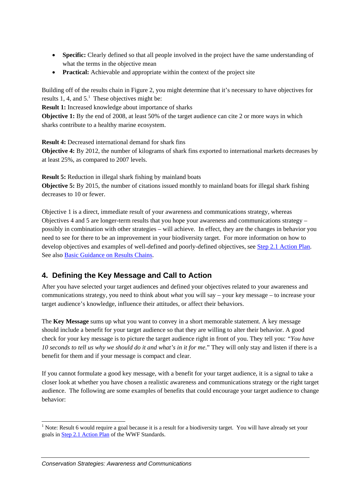- <span id="page-7-0"></span>• **Specific:** Clearly defined so that all people involved in the project have the same understanding of what the terms in the objective mean
- **Practical:** Achievable and appropriate within the context of the project site

Building off of the results chain in [Figure 2,](#page-6-1) you might determine that it's necessary to have objectives for results 1, 4, and  $5<sup>1</sup>$ . These objectives might be:

**Result 1:** Increased knowledge about importance of sharks

**Objective 1:** By the end of 2008, at least 50% of the target audience can cite 2 or more ways in which sharks contribute to a healthy marine ecosystem.

**Result 4:** Decreased international demand for shark fins **Objective 4:** By 2012, the number of kilograms of shark fins exported to international markets decreases by at least 25%, as compared to 2007 levels.

**Result 5:** Reduction in illegal shark fishing by mainland boats **Objective 5:** By 2015, the number of citations issued monthly to mainland boats for illegal shark fishing decreases to 10 or fewer.

Objective 1 is a direct, immediate result of your awareness and communications strategy, whereas Objectives 4 and 5 are longer-term results that you hope your awareness and communications strategy – possibly in combination with other strategies – will achieve. In effect, they are the changes in behavior you need to see for there to be an improvement in your biodiversity target. For more information on how to develop objectives and examples of well-defined and poorly-defined objectives, see [Step 2.1 Action Plan.](https://intranet.panda.org/documents/folder.cfm?uFolderID=60978) See also [Basic Guidance on Results Chains.](https://intranet.panda.org/documents/folder.cfm?uFolderID=60978)

## **4. Defining the Key Message and Call to Action**

After you have selected your target audiences and defined your objectives related to your awareness and communications strategy, you need to think about *what* you will say – your key message – to increase your target audience's knowledge, influence their attitudes, or affect their behaviors.

The **Key Message** sums up what you want to convey in a short memorable statement. A key message should include a benefit for your target audience so that they are willing to alter their behavior. A good check for your key message is to picture the target audience right in front of you. They tell you: *"You have 10 seconds to tell us why we should do it and what's in it for me*." They will only stay and listen if there is a benefit for them and if your message is compact and clear.

If you cannot formulate a good key message, with a benefit for your target audience, it is a signal to take a closer look at whether you have chosen a realistic awareness and communications strategy or the right target audience. The following are some examples of benefits that could encourage your target audience to change behavior:

<span id="page-7-1"></span> $\frac{1}{1}$ <sup>1</sup> Note: Result 6 would require a goal because it is a result for a biodiversity target. You will have already set your goals in [Step 2.1 Action Plan](https://intranet.panda.org/documents/folder.cfm?uFolderID=60978) of the WWF Standards.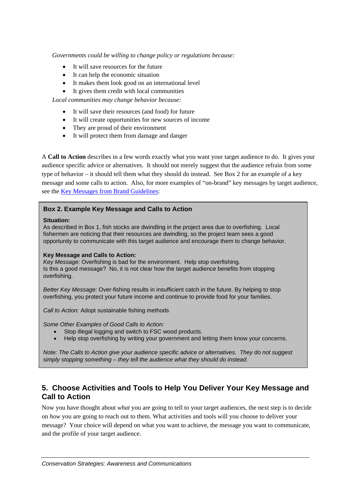<span id="page-8-0"></span>*Governments could be willing to change policy or regulations because:* 

- It will save resources for the future
- It can help the economic situation
- It makes them look good on an international level
- It gives them credit with local communities

*Local communities may change behavior because:* 

- It will save their resources (and food) for future
- It will create opportunities for new sources of income
- They are proud of their environment
- It will protect them from damage and danger

A **Call to Action** describes in a few words exactly what you want your target audience to do. It gives your audience specific advice or alternatives. It should not merely suggest that the audience refrain from some type of behavior – it should tell them what they should do instead. See [Box 2](#page-6-1) for an example of a key message and some calls to action. Also, for more examples of "on-brand" key messages by target audience, see the [Key Messages from](https://intranet.panda.org/documents/folder.cfm?uFolderID=63607) Brand Guidelines:

#### **Box 2. Example Key Message and Calls to Action**

#### **Situation:**

As described in [Box 1,](#page-7-1) fish stocks are dwindling in the project area due to overfishing. Local fishermen are noticing that their resources are dwindling, so the project team sees a good opportunity to communicate with this target audience and encourage them to change behavior.

#### **Key Message and Calls to Action:**

*Key Message:* Overfishing is bad for the environment. Help stop overfishing. Is this a good message? No, it is not clear how the target audience benefits from stopping overfishing.

*Better Key Message:* Over-fishing results in insufficient catch in the future. By helping to stop overfishing, you protect your future income and continue to provide food for your families.

*Call to Action:* Adopt sustainable fishing methods

*Some Other Examples of Good Calls to Action:* 

- Stop illegal logging and switch to FSC wood products.
- Help stop overfishing by writing your government and letting them know your concerns.

*Note: The Calls to Action give your audience specific advice or alternatives. They do not suggest simply stopping something – they tell the audience what they should do instead.*

## **5. Choose Activities and Tools to Help You Deliver Your Key Message and Call to Action**

Now you have thought about *what* you are going to tell to your target audiences, the next step is to decide on *how* you are going to reach out to them. What activities and tools will you choose to deliver your message? Your choice will depend on what you want to achieve, the message you want to communicate, and the profile of your target audience.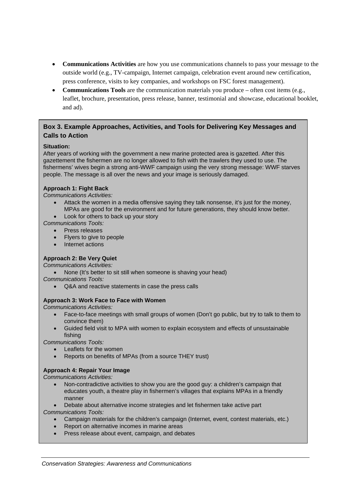- **Communications Activities** are how you use communications channels to pass your message to the outside world (e.g., TV-campaign, Internet campaign, celebration event around new certification, press conference, visits to key companies, and workshops on FSC forest management).
- **Communications Tools** are the communication materials you produce often cost items (e.g., leaflet, brochure, presentation, press release, banner, testimonial and showcase, educational booklet, and ad).

#### **Box 3. Example Approaches, Activities, and Tools for Delivering Key Messages and Calls to Action**

#### **Situation:**

After years of working with the government a new marine protected area is gazetted. After this gazettement the fishermen are no longer allowed to fish with the trawlers they used to use. The fishermens' wives begin a strong anti-WWF campaign using the very strong message: WWF starves people. The message is all over the news and your image is seriously damaged.

#### **Approach 1: Fight Back**

*Communications Activities:*

- Attack the women in a media offensive saying they talk nonsense, it's just for the money, MPAs are good for the environment and for future generations, they should know better.
- Look for others to back up your story

*Communications Tools:*

- Press releases
- Flyers to give to people
- Internet actions

#### **Approach 2: Be Very Quiet**

*Communications Activities:*

• None (It's better to sit still when someone is shaving your head)

*Communications Tools:*

• Q&A and reactive statements in case the press calls

#### **Approach 3: Work Face to Face with Women**

*Communications Activities:*

- Face-to-face meetings with small groups of women (Don't go public, but try to talk to them to convince them)
- Guided field visit to MPA with women to explain ecosystem and effects of unsustainable fishing

*Communications Tools:*

- Leaflets for the women
- Reports on benefits of MPAs (from a source THEY trust)

#### **Approach 4: Repair Your Image**

*Communications Activities:*

- Non-contradictive activities to show you are the good guy: a children's campaign that educates youth, a theatre play in fishermen's villages that explains MPAs in a friendly manner
- Debate about alternative income strategies and let fishermen take active part

*Communications Tools:*

- Campaign materials for the children's campaign (Internet, event, contest materials, etc.)
- Report on alternative incomes in marine areas
- Press release about event, campaign, and debates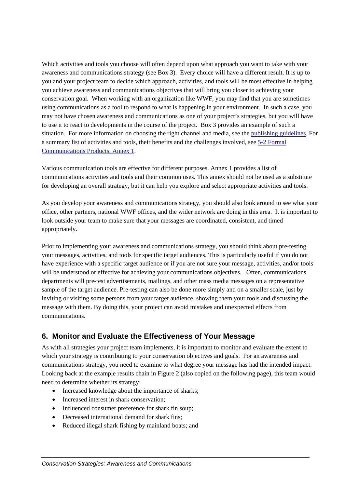<span id="page-10-0"></span>Which activities and tools you choose will often depend upon what approach you want to take with your awareness and communications strategy (see [Box 3\)](#page-6-1). Every choice will have a different result. It is up to you and your project team to decide which approach, activities, and tools will be most effective in helping you achieve awareness and communications objectives that will bring you closer to achieving your conservation goal. When working with an organization like WWF, you may find that you are sometimes using communications as a tool to respond to what is happening in your environment. In such a case, you may not have chosen awareness and communications as one of your project's strategies, but you will have to use it to react to developments in the course of the project. [Box 3](#page-6-1) provides an example of such a situation. For more information on choosing the right channel and media, see the [publishing guidelines.](https://intranet.panda.org/documents/document.cfm?uFolderID=4291&uDocID=59835) For a summary list of activities and tools, their benefits and the challenges involved, see [5-2 Formal](https://intranet.panda.org/documents/folder.cfm?uFolderID=60990)  [Communications Products, Annex 1.](https://intranet.panda.org/documents/folder.cfm?uFolderID=60990)

Various communication tools are effective for different purposes. Annex 1 provides a list of communications activities and tools and their common uses. This annex should not be used as a substitute for developing an overall strategy, but it can help you explore and select appropriate activities and tools.

As you develop your awareness and communications strategy, you should also look around to see what your office, other partners, national WWF offices, and the wider network are doing in this area. It is important to look outside your team to make sure that your messages are coordinated, consistent, and timed appropriately.

Prior to implementing your awareness and communications strategy, you should think about pre-testing your messages, activities, and tools for specific target audiences. This is particularly useful if you do not have experience with a specific target audience or if you are not sure your message, activities, and/or tools will be understood or effective for achieving your communications objectives. Often, communications departments will pre-test advertisements, mailings, and other mass media messages on a representative sample of the target audience. Pre-testing can also be done more simply and on a smaller scale, just by inviting or visiting some persons from your target audience, showing them your tools and discussing the message with them. By doing this, your project can avoid mistakes and unexpected effects from communications.

## **6. Monitor and Evaluate the Effectiveness of Your Message**

As with all strategies your project team implements, it is important to monitor and evaluate the extent to which your strategy is contributing to your conservation objectives and goals. For an awareness and communications strategy, you need to examine to what degree your message has had the intended impact. Looking back at the example results chain in [Figure 2](#page-6-1) (also copied on the following page), this team would need to determine whether its strategy:

- Increased knowledge about the importance of sharks;
- Increased interest in shark conservation:
- Influenced consumer preference for shark fin soup:
- Decreased international demand for shark fins:
- Reduced illegal shark fishing by mainland boats; and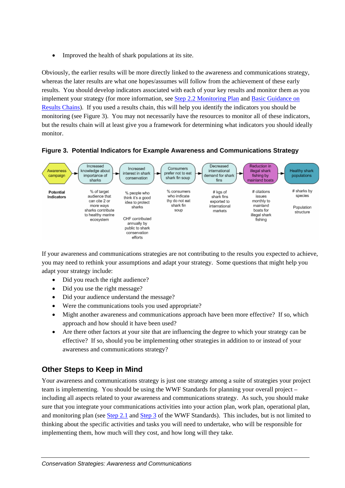<span id="page-11-0"></span>• Improved the health of shark populations at its site.

Obviously, the earlier results will be more directly linked to the awareness and communications strategy, whereas the later results are what one hopes/assumes will follow from the achievement of these early results. You should develop indicators associated with each of your key results and monitor them as you implement your strategy (for more information, see [Step 2.2 Monitoring Plan](https://intranet.panda.org/documents/folder.cfm?uFolderID=60979) and [Basic Guidance on](https://intranet.panda.org/documents/folder.cfm?uFolderID=60995)  [Results Chains\)](https://intranet.panda.org/documents/folder.cfm?uFolderID=60995). If you used a results chain, this will help you identify the indicators you should be monitoring (see [Figure 3\)](#page-11-1). You may not necessarily have the resources to monitor all of these indicators, but the results chain will at least give you a framework for determining what indicators you should ideally monitor.



#### <span id="page-11-1"></span>**Figure 3. Potential Indicators for Example Awareness and Communications Strategy**

If your awareness and communications strategies are not contributing to the results you expected to achieve, you may need to rethink your assumptions and adapt your strategy. Some questions that might help you adapt your strategy include:

- Did you reach the right audience?
- Did you use the right message?
- Did your audience understand the message?
- Were the communications tools you used appropriate?
- Might another awareness and communications approach have been more effective? If so, which approach and how should it have been used?
- Are there other factors at your site that are influencing the degree to which your strategy can be effective? If so, should you be implementing other strategies in addition to or instead of your awareness and communications strategy?

## **Other Steps to Keep in Mind**

Your awareness and communications strategy is just one strategy among a suite of strategies your project team is implementing. You should be using the WWF Standards for planning your overall project – including all aspects related to your awareness and communications strategy. As such, you should make sure that you integrate your communications activities into your action plan, work plan, operational plan, and monitoring plan (see [Step 2.1](https://intranet.panda.org/documents/folder.cfm?uFolderID=60978) and [Step 3](https://intranet.panda.org/documents/folder.cfm?uFolderID=60973) of the WWF Standards). This includes, but is not limited to thinking about the specific activities and tasks you will need to undertake, who will be responsible for implementing them, how much will they cost, and how long will they take.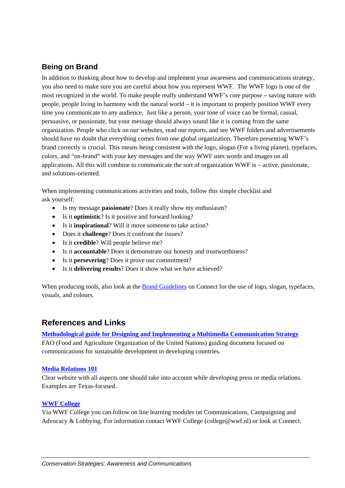## <span id="page-12-0"></span>**Being on Brand**

In addition to thinking about how to develop and implement your awareness and communications strategy, you also need to make sure you are careful about how you represent WWF. The WWF logo is one of the most recognized in the world. To make people really understand WWF's core purpose – saving nature with people, people living in harmony with the natural world – it is important to properly position WWF every time you communicate to any audience. Just like a person, your tone of voice can be formal, casual, persuasive, or passionate, but your message should always sound like it is coming from the same organization. People who click on our websites, read our reports, and see WWF folders and advertisements should have no doubt that everything comes from one global organization. Therefore presenting WWF's brand correctly is crucial. This means being consistent with the logo, slogan (For a living planet), typefaces, colors, and "on-brand" with your key messages and the way WWF uses words and images on all applications. All this will combine to communicate the sort of organization WWF is – active, passionate, and solutions-oriented.

When implementing communications activities and tools, follow this simple checklist and ask yourself:

- Is my message **passionate**? Does it really show my enthusiasm?
- Is it **optimistic**? Is it positive and forward looking?
- Is it **inspirational**? Will it move someone to take action?
- Does it **challenge**? Does it confront the issues?
- Is it **credible**? Will people believe me?
- Is it **accountable**? Does it demonstrate our honesty and trustworthiness?
- Is it **persevering**? Does it prove our commitment?
- Is it **delivering results**? Does it show what we have achieved?

When producing tools, also look at the [Brand Guidelines](https://intranet.panda.org/documents/folder.cfm?uFolderID=10763) on Connect for the use of logo, slogan, typefaces, visuals, and colours.

## **References and Links**

#### **[Methodological guide for Designing and Implementing a Multimedia Communication Strategy](http://www.fao.org/docrep/005/Y4334E/y4334e00.HTM)**

FAO (Food and Agriculture Organization of the United Nations) guiding document focused on communications for sustainable development in developing countries.

#### **[Media Relations 101](http://www.arts.state.tx.us/news/media101/home.asp)**

Clear website with all aspects one should take into account while developing press or media relations. Examples are Texas-focused.

#### **[WWF College](http://www.wwfcollege.org/)**

Via WWF College you can follow on line learning modules on Communications, Campaigning and Advocacy & Lobbying. For information contact WWF College (college@wwf.nl) or look at Connect.